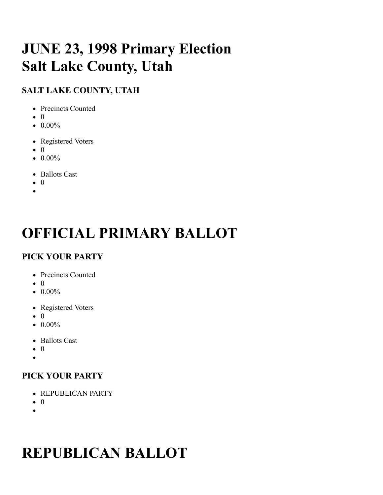# **JUNE 23, 1998 Primary Election Salt Lake County, Utah**

# **SALT LAKE COUNTY, UTAH**

- Precincts Counted
- $\bullet$  0
- $\bullet$  0.00%
- Registered Voters
- $\bullet$  0
- $\bullet$  0.00%
- Ballots Cast
- $\bullet$  0
- 

# **OFFICIAL PRIMARY BALLOT**

# **PICK YOUR PARTY**

- Precincts Counted
- $\bullet$  0
- $\bullet$  0.00%
- Registered Voters
- $\bullet$  0
- $\bullet$  0.00%
- Ballots Cast
- $\bullet$  0
- $\bullet$

# **PICK YOUR PARTY**

- REPUBLICAN PARTY
- $\bullet$  0
- $\bullet$

# **REPUBLICAN BALLOT**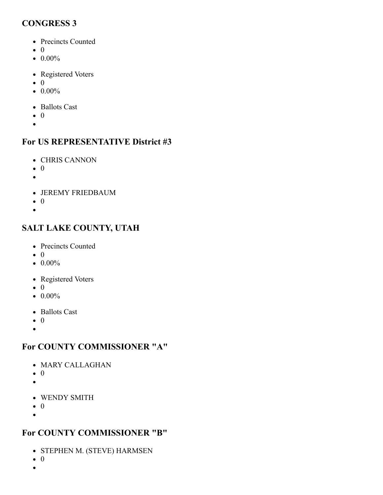#### **CONGRESS 3**

- Precincts Counted
- $\bullet$  0
- $\bullet$  0.00%
- Registered Voters
- $\bullet$  0
- $\bullet$  0.00%
- Ballots Cast
- $\bullet$  0
- $\bullet$

#### **For US REPRESENTATIVE District #3**

- CHRIS CANNON
- $\bullet$  0
- 
- JEREMY FRIEDBAUM
- $\bullet$  0
- $\bullet$

#### **SALT LAKE COUNTY, UTAH**

- Precincts Counted
- $\bullet$  0
- $\bullet$  0.00%
- Registered Voters
- $\bullet$  0
- $\bullet$  0.00%
- Ballots Cast
- $\bullet$  0
- $\bullet$

#### **For COUNTY COMMISSIONER "A"**

- MARY CALLAGHAN
- $\bullet$  0
- $\bullet$
- WENDY SMITH
- $\bullet$  0
- $\bullet$

#### **For COUNTY COMMISSIONER "B"**

- STEPHEN M. (STEVE) HARMSEN
- $\bullet$  0
- $\bullet$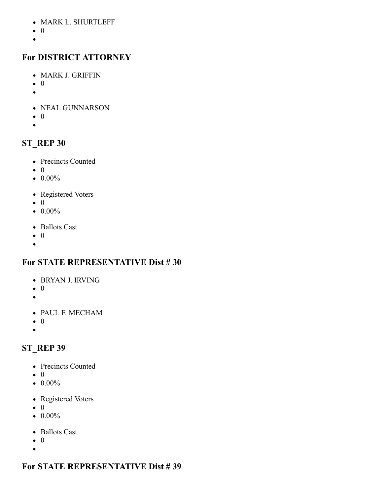- MARK L. SHURTLEFF
- $\bullet$  0
- $\bullet$

## **For DISTRICT ATTORNEY**

- MARK J. GRIFFIN
- $\bullet$  0
- $\bullet$
- NEAL GUNNARSON
- $\bullet$  0
- $\bullet$

## **ST\_REP 30**

- Precincts Counted
- $\bullet$  0
- $\bullet$  0.00%
- Registered Voters
- $\bullet$  0
- $\bullet$  0.00%
- Ballots Cast
- $\bullet$  0
- $\bullet$

## **For STATE REPRESENTATIVE Dist # 30**

- BRYAN J. IRVING
- $\bullet$  0
- $\bullet$
- PAUL F. MECHAM
- $\bullet$  0
- $\bullet$

# **ST\_REP 39**

- Precincts Counted
- $\bullet$  0
- $\bullet$  0.00%
- Registered Voters
- $\bullet$  0
- $\bullet$  0.00%
- Ballots Cast
- $\bullet$  0  $\bullet$

# **For STATE REPRESENTATIVE Dist # 39**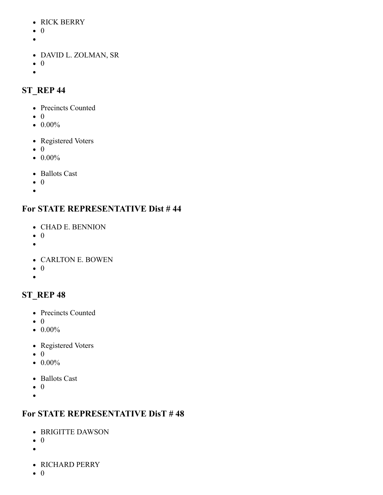- RICK BERRY
- $\bullet$  0
- 
- DAVID L. ZOLMAN, SR
- $\bullet$  0
- $\bullet$

## **ST\_REP 44**

- Precincts Counted
- $\bullet$  0
- $\bullet$  0.00%
- Registered Voters
- $\bullet$  0
- $\bullet$  0.00%
- Ballots Cast
- $\bullet$  0
- $\bullet$

## **For STATE REPRESENTATIVE Dist # 44**

- CHAD E. BENNION
- $\bullet$  0
- $\bullet$
- CARLTON E. BOWEN
- $\bullet$  0
- $\bullet$

# **ST\_REP 48**

- Precincts Counted
- $\bullet$  0
- $\bullet$  0.00%
- Registered Voters
- $\bullet$  0
- $\bullet$  0.00%
- Ballots Cast
- $\bullet$  0
- $\bullet$

## **For STATE REPRESENTATIVE DisT # 48**

- BRIGITTE DAWSON
- $\bullet$  0
- $\bullet$
- RICHARD PERRY
- $\bullet$  0